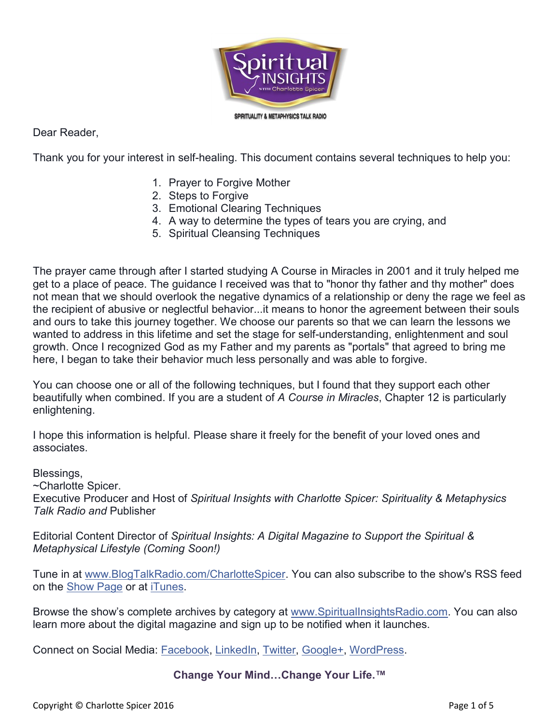

Dear Reader,

Thank you for your interest in self-healing. This document contains several techniques to help you:

- 1. Prayer to Forgive Mother
- 2. Steps to Forgive
- 3. Emotional Clearing Techniques
- 4. A way to determine the types of tears you are crying, and
- 5. Spiritual Cleansing Techniques

The prayer came through after I started studying A Course in Miracles in 2001 and it truly helped me get to a place of peace. The guidance I received was that to "honor thy father and thy mother" does not mean that we should overlook the negative dynamics of a relationship or deny the rage we feel as the recipient of abusive or neglectful behavior...it means to honor the agreement between their souls and ours to take this journey together. We choose our parents so that we can learn the lessons we wanted to address in this lifetime and set the stage for self-understanding, enlightenment and soul growth. Once I recognized God as my Father and my parents as "portals" that agreed to bring me here, I began to take their behavior much less personally and was able to forgive.

You can choose one or all of the following techniques, but I found that they support each other beautifully when combined. If you are a student of *A Course in Miracles*, Chapter 12 is particularly enlightening.

I hope this information is helpful. Please share it freely for the benefit of your loved ones and associates.

Blessings,

~Charlotte Spicer.

Executive Producer and Host of *Spiritual Insights with Charlotte Spicer: Spirituality & Metaphysics Talk Radio and* Publisher

Editorial Content Director of *Spiritual Insights: A Digital Magazine to Support the Spiritual & Metaphysical Lifestyle (Coming Soon!)*

Tune in at [www.BlogTalkRadio.com/CharlotteSpicer.](http://www.blogtalkradio.com/CharlotteSpicer) You can also subscribe to the show's RSS feed on the [Show](http://www.blogtalkradio.com/CharlotteSpicer) Page or at [iTunes.](https://itunes.apple.com/us/podcast/spiritual-insights-charlotte/id795842089)

Browse the show's complete archives by category at [www.SpiritualInsightsRadio.com.](http://www.spiritualinsightsradio.com/) You can also learn more about the digital magazine and sign up to be notified when it launches.

Connect on Social Media: [Facebook,](https://www.facebook.com/SpiritualInsightsRadio) [LinkedIn,](http://www.linkedin.com/in/charlottespicer/) [Twitter,](https://twitter.com/CharSpicer) [Google+,](http://www.google.com/+CharlotteSpicer) [WordPress.](https://spiritualinsightsradio.wordpress.com/page/2/)

#### **Change Your Mind…Change Your Life.™**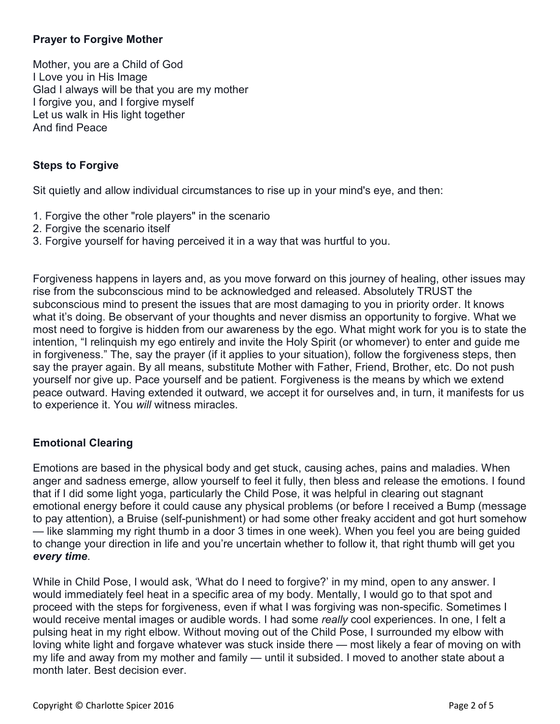# **Prayer to Forgive Mother**

Mother, you are a Child of God I Love you in His Image Glad I always will be that you are my mother I forgive you, and I forgive myself Let us walk in His light together And find Peace

# **Steps to Forgive**

Sit quietly and allow individual circumstances to rise up in your mind's eye, and then:

- 1. Forgive the other "role players" in the scenario
- 2. Forgive the scenario itself
- 3. Forgive yourself for having perceived it in a way that was hurtful to you.

Forgiveness happens in layers and, as you move forward on this journey of healing, other issues may rise from the subconscious mind to be acknowledged and released. Absolutely TRUST the subconscious mind to present the issues that are most damaging to you in priority order. It knows what it's doing. Be observant of your thoughts and never dismiss an opportunity to forgive. What we most need to forgive is hidden from our awareness by the ego. What might work for you is to state the intention, "I relinquish my ego entirely and invite the Holy Spirit (or whomever) to enter and guide me in forgiveness." The, say the prayer (if it applies to your situation), follow the forgiveness steps, then say the prayer again. By all means, substitute Mother with Father, Friend, Brother, etc. Do not push yourself nor give up. Pace yourself and be patient. Forgiveness is the means by which we extend peace outward. Having extended it outward, we accept it for ourselves and, in turn, it manifests for us to experience it. You *will* witness miracles.

## **Emotional Clearing**

Emotions are based in the physical body and get stuck, causing aches, pains and maladies. When anger and sadness emerge, allow yourself to feel it fully, then bless and release the emotions. I found that if I did some light yoga, particularly the Child Pose, it was helpful in clearing out stagnant emotional energy before it could cause any physical problems (or before I received a Bump (message to pay attention), a Bruise (self-punishment) or had some other freaky accident and got hurt somehow — like slamming my right thumb in a door 3 times in one week). When you feel you are being guided to change your direction in life and you're uncertain whether to follow it, that right thumb will get you *every time*.

While in Child Pose, I would ask, 'What do I need to forgive?' in my mind, open to any answer. I would immediately feel heat in a specific area of my body. Mentally, I would go to that spot and proceed with the steps for forgiveness, even if what I was forgiving was non-specific. Sometimes I would receive mental images or audible words. I had some *really* cool experiences. In one, I felt a pulsing heat in my right elbow. Without moving out of the Child Pose, I surrounded my elbow with loving white light and forgave whatever was stuck inside there — most likely a fear of moving on with my life and away from my mother and family — until it subsided. I moved to another state about a month later. Best decision ever.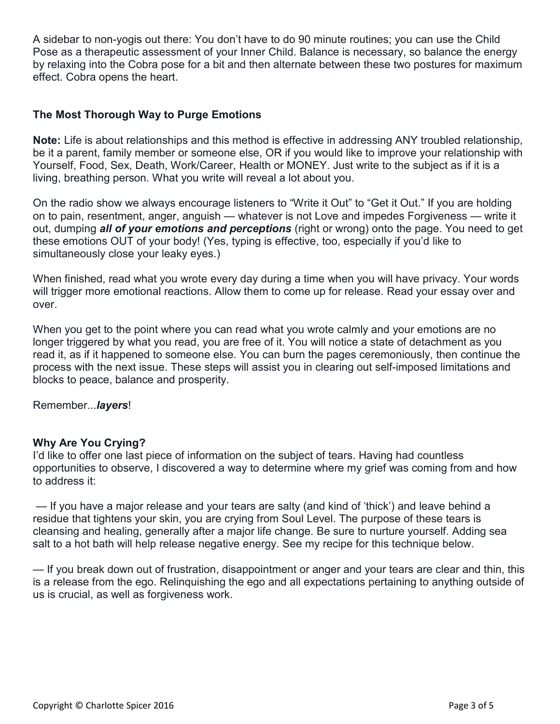A sidebar to non-yogis out there: You don't have to do 90 minute routines; you can use the Child Pose as a therapeutic assessment of your Inner Child. Balance is necessary, so balance the energy by relaxing into the Cobra pose for a bit and then alternate between these two postures for maximum effect. Cobra opens the heart.

#### **The Most Thorough Way to Purge Emotions**

**Note:** Life is about relationships and this method is effective in addressing ANY troubled relationship, be it a parent, family member or someone else, OR if you would like to improve your relationship with Yourself, Food, Sex, Death, Work/Career, Health or MONEY. Just write to the subject as if it is a living, breathing person. What you write will reveal a lot about you.

On the radio show we always encourage listeners to "Write it Out" to "Get it Out." If you are holding on to pain, resentment, anger, anguish — whatever is not Love and impedes Forgiveness — write it out, dumping *all of your emotions and perceptions* (right or wrong) onto the page. You need to get these emotions OUT of your body! (Yes, typing is effective, too, especially if you'd like to simultaneously close your leaky eyes.)

When finished, read what you wrote every day during a time when you will have privacy. Your words will trigger more emotional reactions. Allow them to come up for release. Read your essay over and over.

When you get to the point where you can read what you wrote calmly and your emotions are no longer triggered by what you read, you are free of it. You will notice a state of detachment as you read it, as if it happened to someone else. You can burn the pages ceremoniously, then continue the process with the next issue. These steps will assist you in clearing out self-imposed limitations and blocks to peace, balance and prosperity.

Remember...*layers*!

#### **Why Are You Crying?**

I'd like to offer one last piece of information on the subject of tears. Having had countless opportunities to observe, I discovered a way to determine where my grief was coming from and how to address it:

— If you have a major release and your tears are salty (and kind of 'thick') and leave behind a residue that tightens your skin, you are crying from Soul Level. The purpose of these tears is cleansing and healing, generally after a major life change. Be sure to nurture yourself. Adding sea salt to a hot bath will help release negative energy. See my recipe for this technique below.

— If you break down out of frustration, disappointment or anger and your tears are clear and thin, this is a release from the ego. Relinquishing the ego and all expectations pertaining to anything outside of us is crucial, as well as forgiveness work.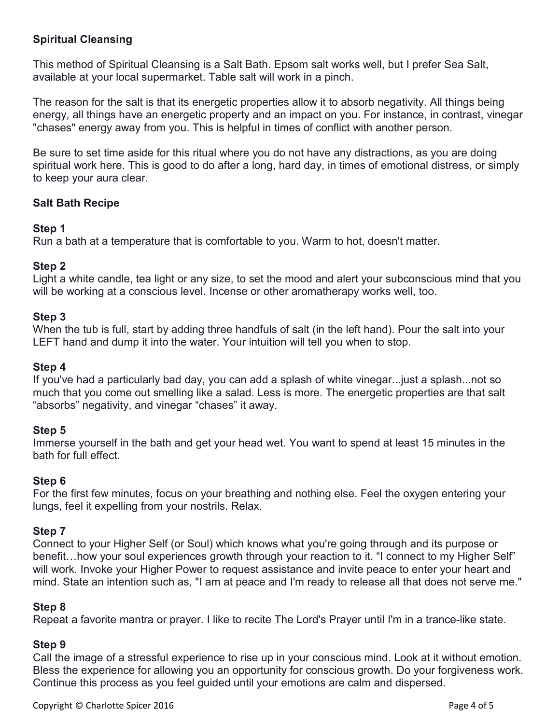## **Spiritual Cleansing**

This method of Spiritual Cleansing is a Salt Bath. Epsom salt works well, but I prefer Sea Salt, available at your local supermarket. Table salt will work in a pinch.

The reason for the salt is that its energetic properties allow it to absorb negativity. All things being energy, all things have an energetic property and an impact on you. For instance, in contrast, vinegar "chases" energy away from you. This is helpful in times of conflict with another person.

Be sure to set time aside for this ritual where you do not have any distractions, as you are doing spiritual work here. This is good to do after a long, hard day, in times of emotional distress, or simply to keep your aura clear.

### **Salt Bath Recipe**

#### **Step 1**

Run a bath at a temperature that is comfortable to you. Warm to hot, doesn't matter.

### **Step 2**

Light a white candle, tea light or any size, to set the mood and alert your subconscious mind that you will be working at a conscious level. Incense or other aromatherapy works well, too.

#### **Step 3**

When the tub is full, start by adding three handfuls of salt (in the left hand). Pour the salt into your LEFT hand and dump it into the water. Your intuition will tell you when to stop.

#### **Step 4**

If you've had a particularly bad day, you can add a splash of white vinegar...just a splash...not so much that you come out smelling like a salad. Less is more. The energetic properties are that salt "absorbs" negativity, and vinegar "chases" it away.

#### **Step 5**

Immerse yourself in the bath and get your head wet. You want to spend at least 15 minutes in the bath for full effect.

#### **Step 6**

For the first few minutes, focus on your breathing and nothing else. Feel the oxygen entering your lungs, feel it expelling from your nostrils. Relax.

#### **Step 7**

Connect to your Higher Self (or Soul) which knows what you're going through and its purpose or benefit...how your soul experiences growth through your reaction to it. "I connect to my Higher Self" will work. Invoke your Higher Power to request assistance and invite peace to enter your heart and mind. State an intention such as, "I am at peace and I'm ready to release all that does not serve me."

#### **Step 8**

Repeat a favorite mantra or prayer. I like to recite The Lord's Prayer until I'm in a trance-like state.

#### **Step 9**

Call the image of a stressful experience to rise up in your conscious mind. Look at it without emotion. Bless the experience for allowing you an opportunity for conscious growth. Do your forgiveness work. Continue this process as you feel guided until your emotions are calm and dispersed.